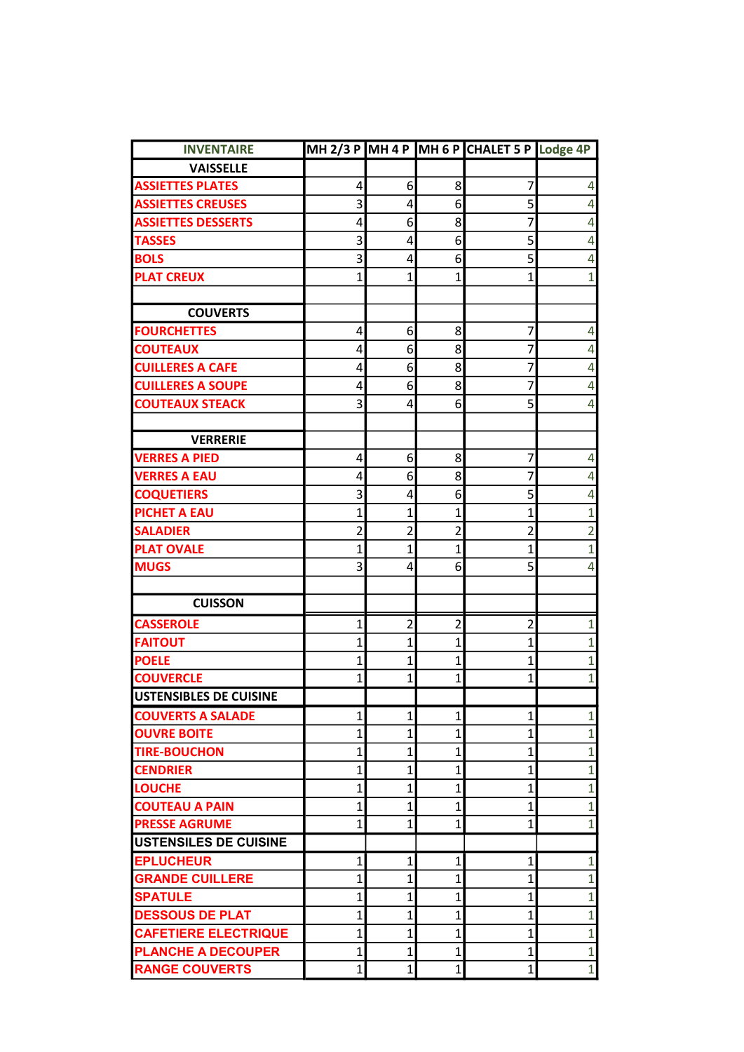| <b>INVENTAIRE</b>             |                         |                |                | MH 2/3 P MH 4 P MH 6 P CHALET 5 P Lodge 4P |                |
|-------------------------------|-------------------------|----------------|----------------|--------------------------------------------|----------------|
| <b>VAISSELLE</b>              |                         |                |                |                                            |                |
| <b>ASSIETTES PLATES</b>       | 4                       | 6              | 8              | 7                                          | 4              |
| <b>ASSIETTES CREUSES</b>      | 3                       | 4              | 6              | 5                                          | 4              |
| <b>ASSIETTES DESSERTS</b>     | 4                       | 6              | 8              | 7                                          | 4              |
| <b>TASSES</b>                 | 3                       | 4              | 6              | 5                                          | 4              |
| <b>BOLS</b>                   | 3                       | 4              | 6              | 5                                          | 4              |
| <b>PLAT CREUX</b>             | $\mathbf 1$             | $\mathbf 1$    | 1              | 1                                          | $\overline{1}$ |
|                               |                         |                |                |                                            |                |
| <b>COUVERTS</b>               |                         |                |                |                                            |                |
| <b>FOURCHETTES</b>            | 4                       | 6              | 8              | 7                                          | 4              |
| <b>COUTEAUX</b>               | 4                       | 6              | 8              | 7                                          | 4              |
| <b>CUILLERES A CAFE</b>       | 4                       | 6              | 8              | 7                                          | 4              |
| <b>CUILLERES A SOUPE</b>      | 4                       | 6              | 8              | 7                                          | 4              |
| <b>COUTEAUX STEACK</b>        | 3                       | 4              | 6              | 5                                          | 4              |
|                               |                         |                |                |                                            |                |
| <b>VERRERIE</b>               |                         |                |                |                                            |                |
| <b>VERRES A PIED</b>          | 4                       | 6              | 8              | 7                                          | 4              |
| <b>VERRES A EAU</b>           | 4                       | 6              | 8              | 7                                          | 4              |
| <b>COQUETIERS</b>             | 3                       | 4              | 6              | 5                                          | 4              |
| <b>PICHET A EAU</b>           | $\mathbf 1$             | $\mathbf 1$    | $\mathbf 1$    | 1                                          | $\overline{1}$ |
| <b>SALADIER</b>               | $\overline{\mathbf{c}}$ | $\overline{c}$ | $\overline{2}$ | $\overline{2}$                             | $\overline{2}$ |
| <b>PLAT OVALE</b>             | $\overline{1}$          | $\overline{1}$ | $\overline{1}$ | 1                                          | $\overline{1}$ |
| <b>MUGS</b>                   | 3                       | 4              | 6              | 5                                          | 4              |
|                               |                         |                |                |                                            |                |
| <b>CUISSON</b>                |                         |                |                |                                            |                |
| <b>CASSEROLE</b>              | $\mathbf 1$             | $\overline{c}$ | $\overline{2}$ | $\overline{2}$                             | 1              |
| <b>FAITOUT</b>                | $\overline{1}$          | $\mathbf{1}$   | $\overline{1}$ | $\mathbf 1$                                | $\overline{1}$ |
| <b>POELE</b>                  | 1                       | 1              | 1              | 1                                          | $\overline{1}$ |
| <b>COUVERCLE</b>              | $\overline{1}$          | $\mathbf{1}$   | $\overline{1}$ | $\mathbf{1}$                               | $\overline{1}$ |
| <b>USTENSIBLES DE CUISINE</b> |                         |                |                |                                            |                |
| <b>COUVERTS A SALADE</b>      | 1                       | $\mathbf{1}$   | 1              | 1                                          | $\mathbf{1}$   |
| <b>OUVRE BOITE</b>            | $\mathbf{1}$            | $\mathbf 1$    | 1              | 1                                          | $\overline{1}$ |
| <b>TIRE-BOUCHON</b>           | $\mathbf 1$             | $\mathbf 1$    | $\mathbf 1$    | $\overline{1}$                             | $\overline{1}$ |
| <b>CENDRIER</b>               | $\overline{1}$          | $\mathbf{1}$   | $\overline{1}$ | $\overline{1}$                             | $\overline{1}$ |
| <b>LOUCHE</b>                 | $\overline{1}$          | $\mathbf{1}$   | 1              | 1                                          | $\overline{1}$ |
| <b>COUTEAU A PAIN</b>         | 1                       | 1              | 1              | 1                                          | $\mathbf{1}$   |
| <b>PRESSE AGRUME</b>          | $\overline{1}$          | $\mathbf{1}$   | $\overline{1}$ | 1                                          | $\mathbf{1}$   |
| <b>USTENSILES DE CUISINE</b>  |                         |                |                |                                            |                |
| <b>EPLUCHEUR</b>              | $\mathbf 1$             | 1              | 1              | 1                                          | $\mathbf{1}$   |
| <b>GRANDE CUILLERE</b>        | $\overline{1}$          | $\mathbf 1$    | $\overline{1}$ | 1                                          | $\overline{1}$ |
| <b>SPATULE</b>                | 1                       | $\mathbf{1}$   | 1              | 1                                          | $\mathbf{1}$   |
| <b>DESSOUS DE PLAT</b>        | $\mathbf 1$             | $\mathbf{1}$   | $\overline{1}$ | 1                                          | $\overline{1}$ |
| <b>CAFETIERE ELECTRIQUE</b>   | $\mathbf 1$             | $\mathbf 1$    | $\overline{1}$ | $\mathbf 1$                                | $\mathbf{1}$   |
| <b>PLANCHE A DECOUPER</b>     | $\overline{1}$          | $\mathbf{1}$   | 1              | $\mathbf 1$                                | $\overline{1}$ |
| <b>RANGE COUVERTS</b>         | 1                       | 1              | 1              | 1                                          | $\mathbf{1}$   |